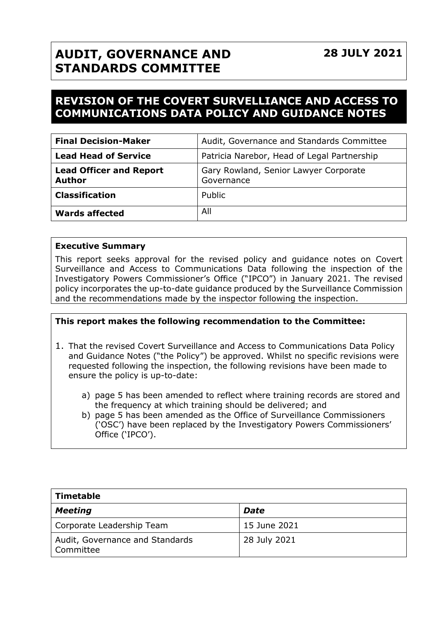## **28 JULY 2021**

# **AUDIT, GOVERNANCE AND STANDARDS COMMITTEE**

## **REVISION OF THE COVERT SURVELLIANCE AND ACCESS TO COMMUNICATIONS DATA POLICY AND GUIDANCE NOTES**

| <b>Final Decision-Maker</b>                     | Audit, Governance and Standards Committee           |
|-------------------------------------------------|-----------------------------------------------------|
| <b>Lead Head of Service</b>                     | Patricia Narebor, Head of Legal Partnership         |
| <b>Lead Officer and Report</b><br><b>Author</b> | Gary Rowland, Senior Lawyer Corporate<br>Governance |
| <b>Classification</b>                           | Public                                              |
| <b>Wards affected</b>                           | All                                                 |

#### **Executive Summary**

This report seeks approval for the revised policy and guidance notes on Covert Surveillance and Access to Communications Data following the inspection of the Investigatory Powers Commissioner's Office ("IPCO") in January 2021. The revised policy incorporates the up-to-date guidance produced by the Surveillance Commission and the recommendations made by the inspector following the inspection.

#### **This report makes the following recommendation to the Committee:**

- 1. That the revised Covert Surveillance and Access to Communications Data Policy and Guidance Notes ("the Policy") be approved. Whilst no specific revisions were requested following the inspection, the following revisions have been made to ensure the policy is up-to-date:
	- a) page 5 has been amended to reflect where training records are stored and the frequency at which training should be delivered; and
	- b) page 5 has been amended as the Office of Surveillance Commissioners ('OSC') have been replaced by the Investigatory Powers Commissioners' Office ('IPCO').

| Timetable                                    |              |  |  |
|----------------------------------------------|--------------|--|--|
| Meeting                                      | Date         |  |  |
| Corporate Leadership Team                    | 15 June 2021 |  |  |
| Audit, Governance and Standards<br>Committee | 28 July 2021 |  |  |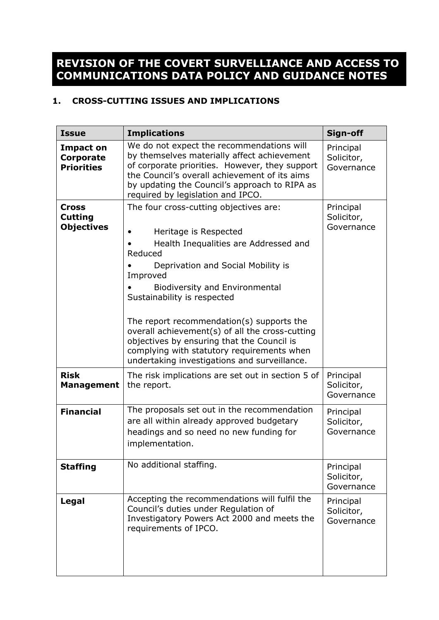## **REVISION OF THE COVERT SURVELLIANCE AND ACCESS TO COMMUNICATIONS DATA POLICY AND GUIDANCE NOTES**

### **1. CROSS-CUTTING ISSUES AND IMPLICATIONS**

| <b>Issue</b>                                        | <b>Implications</b>                                                                                                                                                                                                                                                                                                                                                                                                                                                                       | Sign-off                              |
|-----------------------------------------------------|-------------------------------------------------------------------------------------------------------------------------------------------------------------------------------------------------------------------------------------------------------------------------------------------------------------------------------------------------------------------------------------------------------------------------------------------------------------------------------------------|---------------------------------------|
| <b>Impact on</b><br>Corporate<br><b>Priorities</b>  | We do not expect the recommendations will<br>by themselves materially affect achievement<br>of corporate priorities. However, they support<br>the Council's overall achievement of its aims<br>by updating the Council's approach to RIPA as<br>required by legislation and IPCO.                                                                                                                                                                                                         | Principal<br>Solicitor,<br>Governance |
| <b>Cross</b><br><b>Cutting</b><br><b>Objectives</b> | The four cross-cutting objectives are:<br>Heritage is Respected<br>Health Inequalities are Addressed and<br>Reduced<br>Deprivation and Social Mobility is<br>Improved<br><b>Biodiversity and Environmental</b><br>Sustainability is respected<br>The report recommendation(s) supports the<br>overall achievement(s) of all the cross-cutting<br>objectives by ensuring that the Council is<br>complying with statutory requirements when<br>undertaking investigations and surveillance. | Principal<br>Solicitor,<br>Governance |
| <b>Risk</b><br><b>Management</b>                    | The risk implications are set out in section 5 of<br>the report.                                                                                                                                                                                                                                                                                                                                                                                                                          | Principal<br>Solicitor,<br>Governance |
| <b>Financial</b>                                    | The proposals set out in the recommendation<br>are all within already approved budgetary<br>headings and so need no new funding for<br>implementation.                                                                                                                                                                                                                                                                                                                                    | Principal<br>Solicitor,<br>Governance |
| <b>Staffing</b>                                     | No additional staffing.                                                                                                                                                                                                                                                                                                                                                                                                                                                                   | Principal<br>Solicitor,<br>Governance |
| Legal                                               | Accepting the recommendations will fulfil the<br>Council's duties under Regulation of<br>Investigatory Powers Act 2000 and meets the<br>requirements of IPCO.                                                                                                                                                                                                                                                                                                                             | Principal<br>Solicitor,<br>Governance |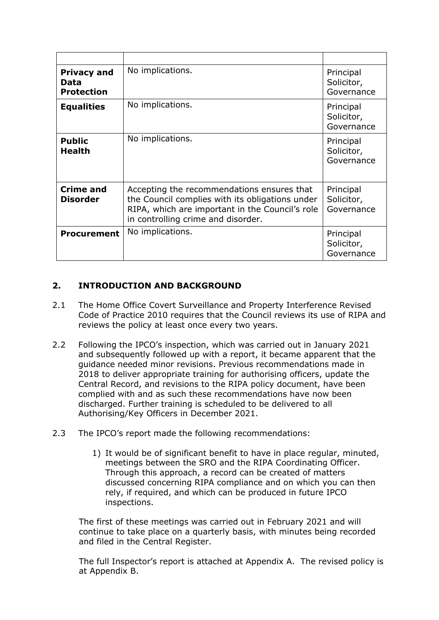| <b>Privacy and</b><br>Data<br><b>Protection</b> | No implications.                                                                                                                                                                       | Principal<br>Solicitor,<br>Governance |
|-------------------------------------------------|----------------------------------------------------------------------------------------------------------------------------------------------------------------------------------------|---------------------------------------|
| <b>Equalities</b>                               | No implications.                                                                                                                                                                       | Principal<br>Solicitor,<br>Governance |
| <b>Public</b><br><b>Health</b>                  | No implications.                                                                                                                                                                       | Principal<br>Solicitor,<br>Governance |
| <b>Crime and</b><br><b>Disorder</b>             | Accepting the recommendations ensures that<br>the Council complies with its obligations under<br>RIPA, which are important in the Council's role<br>in controlling crime and disorder. | Principal<br>Solicitor,<br>Governance |
| <b>Procurement</b>                              | No implications.                                                                                                                                                                       | Principal<br>Solicitor,<br>Governance |

## **2. INTRODUCTION AND BACKGROUND**

- 2.1 The Home Office Covert Surveillance and Property Interference Revised Code of Practice 2010 requires that the Council reviews its use of RIPA and reviews the policy at least once every two years.
- 2.2 Following the IPCO's inspection, which was carried out in January 2021 and subsequently followed up with a report, it became apparent that the guidance needed minor revisions. Previous recommendations made in 2018 to deliver appropriate training for authorising officers, update the Central Record, and revisions to the RIPA policy document, have been complied with and as such these recommendations have now been discharged. Further training is scheduled to be delivered to all Authorising/Key Officers in December 2021.
- 2.3 The IPCO's report made the following recommendations:
	- 1) It would be of significant benefit to have in place regular, minuted, meetings between the SRO and the RIPA Coordinating Officer. Through this approach, a record can be created of matters discussed concerning RIPA compliance and on which you can then rely, if required, and which can be produced in future IPCO inspections.

The first of these meetings was carried out in February 2021 and will continue to take place on a quarterly basis, with minutes being recorded and filed in the Central Register.

The full Inspector's report is attached at Appendix A. The revised policy is at Appendix B.